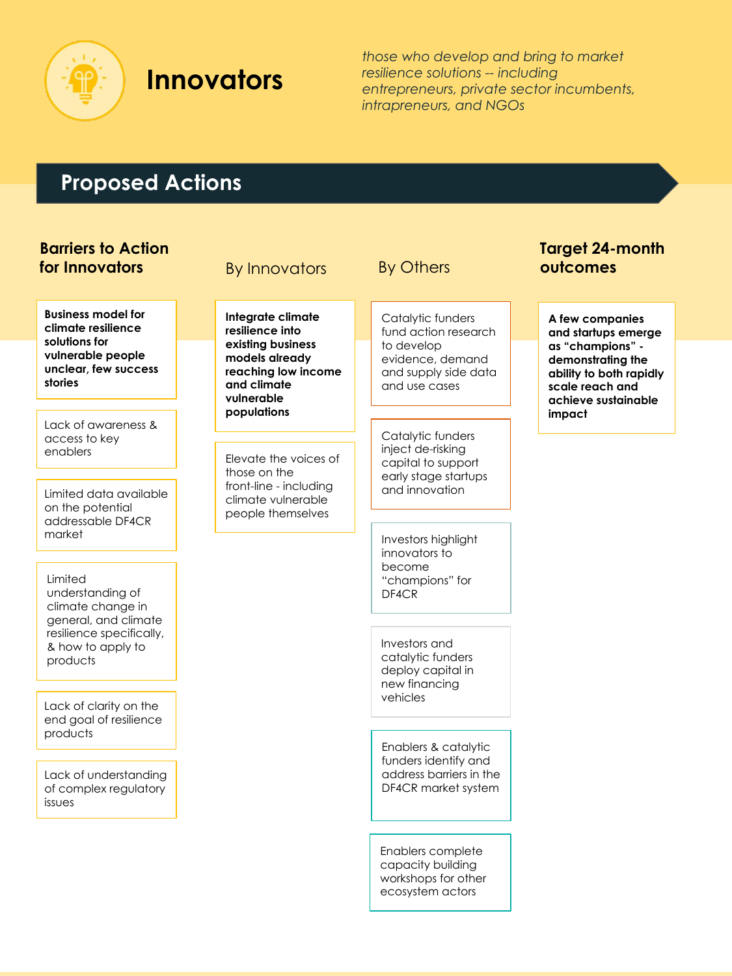

## **Innovators**

Elevate the voices of

**Integrate climate resilience into existing business models already reaching low income** 

front-line - including climate vulnerable people themselves

those on the

**and climate vulnerable populations**

*those who develop and bring to market resilience solutions -- including entrepreneurs, private sector incumbents, intrapreneurs, and NGOs*

### **Proposed Actions**

#### **Barriers to Action for Innovators**

**Business model for climate resilience solutions for vulnerable people unclear, few success stories** 

Lack of awareness & access to key enablers

Limited data available on the potential addressable DF4CR market

Limited understanding of climate change in general, and climate resilience specifically, & how to apply to products

Lack of clarity on the end goal of resilience products

Lack of understanding of complex regulatory issues

## By Innovators By Others **outcomes**

Catalytic funders fund action research to develop evidence, demand and supply side data and use cases

Catalytic funders inject de-risking capital to support early stage startups and innovation

Investors highlight innovators to become "champions" for DF4CR

Investors and catalytic funders deploy capital in new financing vehicles

Enablers & catalytic funders identify and address barriers in the DF4CR market system

Enablers complete capacity building workshops for other ecosystem actors

# **Target 24-month**

**A few companies and startups emerge as "champions" demonstrating the ability to both rapidly scale reach and achieve sustainable impact**